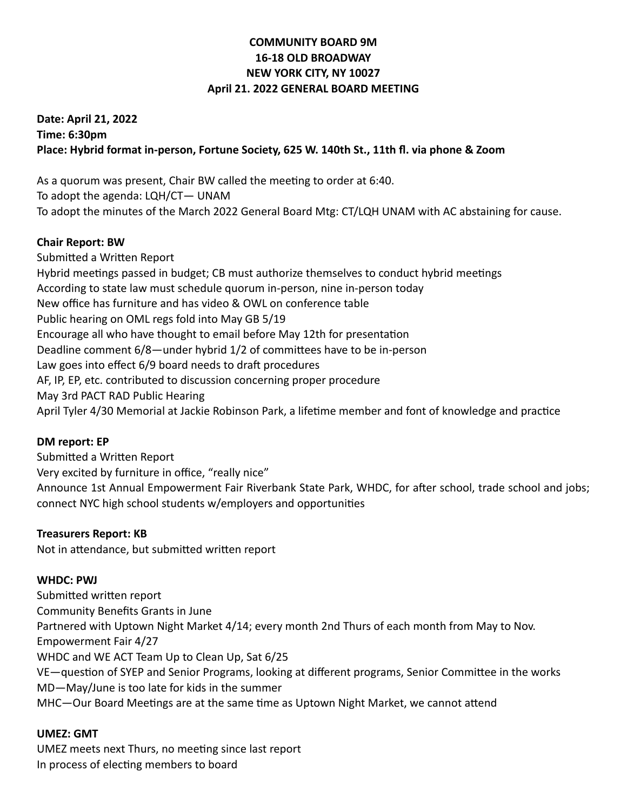# **COMMUNITY BOARD 9M 16-18 OLD BROADWAY NEW YORK CITY, NY 10027 April 21. 2022 GENERAL BOARD MEETING**

# **Date: April 21, 2022 Time: 6:30pm Place: Hybrid format in-person, Fortune Society, 625 W. 140th St., 11th fl. via phone & Zoom**

As a quorum was present, Chair BW called the meeting to order at 6:40. To adopt the agenda: LQH/CT— UNAM To adopt the minutes of the March 2022 General Board Mtg: CT/LQH UNAM with AC abstaining for cause.

# **Chair Report: BW**

Submitted a Written Report Hybrid meetings passed in budget; CB must authorize themselves to conduct hybrid meetings According to state law must schedule quorum in-person, nine in-person today New office has furniture and has video & OWL on conference table Public hearing on OML regs fold into May GB 5/19 Encourage all who have thought to email before May 12th for presentation Deadline comment 6/8—under hybrid 1/2 of committees have to be in-person Law goes into effect 6/9 board needs to draft procedures AF, IP, EP, etc. contributed to discussion concerning proper procedure May 3rd PACT RAD Public Hearing April Tyler 4/30 Memorial at Jackie Robinson Park, a lifetime member and font of knowledge and practice

# **DM report: EP**

Submitted a Written Report Very excited by furniture in office, "really nice" Announce 1st Annual Empowerment Fair Riverbank State Park, WHDC, for after school, trade school and jobs; connect NYC high school students w/employers and opportunities

## **Treasurers Report: KB**

Not in attendance, but submitted written report

## **WHDC: PWJ**

Submitted written report Community Benefits Grants in June Partnered with Uptown Night Market 4/14; every month 2nd Thurs of each month from May to Nov. Empowerment Fair 4/27 WHDC and WE ACT Team Up to Clean Up, Sat 6/25 VE—question of SYEP and Senior Programs, looking at different programs, Senior Committee in the works MD—May/June is too late for kids in the summer MHC—Our Board Meetings are at the same time as Uptown Night Market, we cannot attend

## **UMEZ: GMT**

UMEZ meets next Thurs, no meeting since last report In process of electing members to board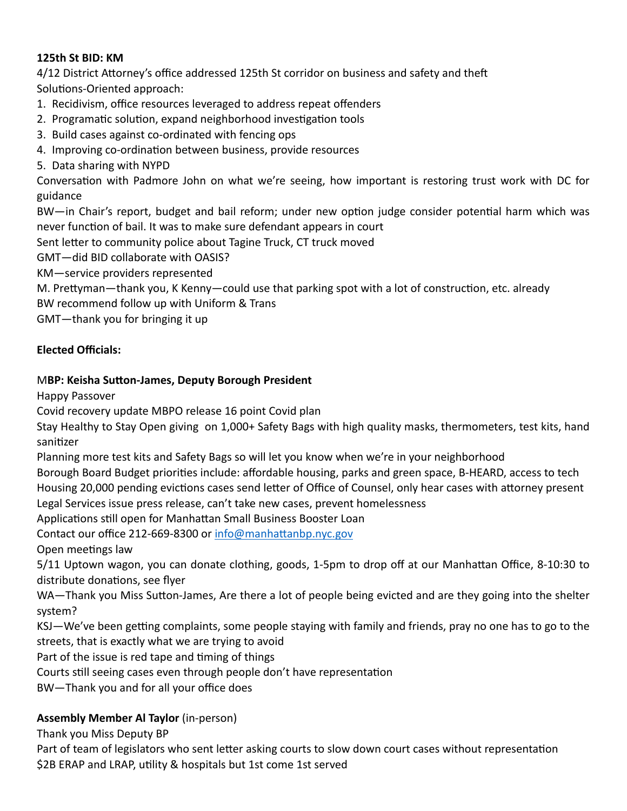## **125th St BID: KM**

4/12 District Attorney's office addressed 125th St corridor on business and safety and theft Solutions-Oriented approach:

- 1. Recidivism, office resources leveraged to address repeat offenders
- 2. Programatic solution, expand neighborhood investigation tools
- 3. Build cases against co-ordinated with fencing ops
- 4. Improving co-ordination between business, provide resources
- 5. Data sharing with NYPD

Conversation with Padmore John on what we're seeing, how important is restoring trust work with DC for guidance

BW—in Chair's report, budget and bail reform; under new option judge consider potential harm which was never function of bail. It was to make sure defendant appears in court

Sent letter to community police about Tagine Truck, CT truck moved

GMT—did BID collaborate with OASIS?

KM—service providers represented

M. Prettyman—thank you, K Kenny—could use that parking spot with a lot of construction, etc. already

BW recommend follow up with Uniform & Trans

GMT—thank you for bringing it up

# **Elected Officials:**

# M**BP: Keisha Sutton-James, Deputy Borough President**

Happy Passover

Covid recovery update MBPO release 16 point Covid plan

Stay Healthy to Stay Open giving on 1,000+ Safety Bags with high quality masks, thermometers, test kits, hand sanitizer

Planning more test kits and Safety Bags so will let you know when we're in your neighborhood

Borough Board Budget priorities include: affordable housing, parks and green space, B-HEARD, access to tech Housing 20,000 pending evictions cases send letter of Office of Counsel, only hear cases with attorney present Legal Services issue press release, can't take new cases, prevent homelessness

Applications still open for Manhattan Small Business Booster Loan

Contact our office 212-669-8300 or [info@manhattanbp.nyc.gov](mailto:info@manhattanbp.nyc.gov)

Open meetings law

5/11 Uptown wagon, you can donate clothing, goods, 1-5pm to drop off at our Manhattan Office, 8-10:30 to distribute donations, see flyer

WA—Thank you Miss Sutton-James, Are there a lot of people being evicted and are they going into the shelter system?

KSJ—We've been getting complaints, some people staying with family and friends, pray no one has to go to the streets, that is exactly what we are trying to avoid

Part of the issue is red tape and timing of things

Courts still seeing cases even through people don't have representation

BW—Thank you and for all your office does

# **Assembly Member Al Taylor** (in-person)

Thank you Miss Deputy BP

Part of team of legislators who sent letter asking courts to slow down court cases without representation \$2B ERAP and LRAP, utility & hospitals but 1st come 1st served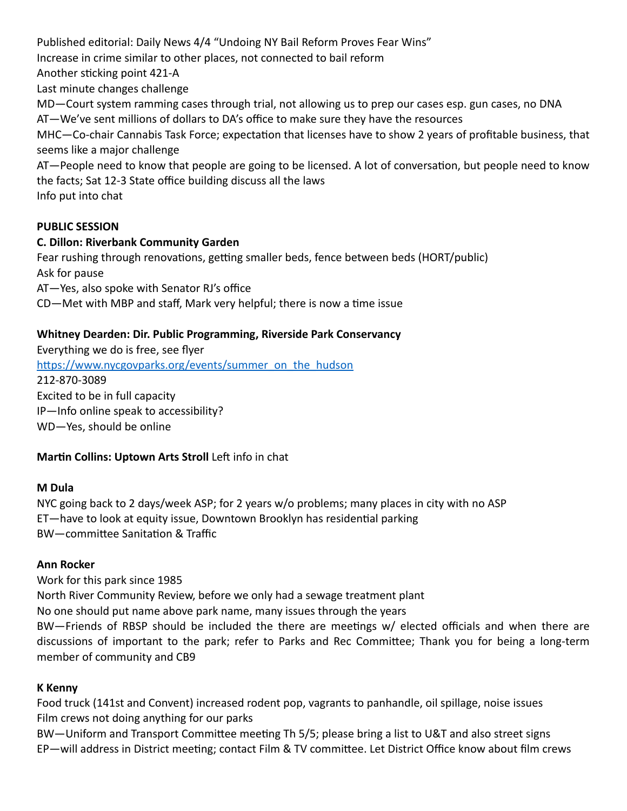Published editorial: Daily News 4/4 "Undoing NY Bail Reform Proves Fear Wins"

Increase in crime similar to other places, not connected to bail reform

Another sticking point 421-A

Last minute changes challenge

MD—Court system ramming cases through trial, not allowing us to prep our cases esp. gun cases, no DNA

AT—We've sent millions of dollars to DA's office to make sure they have the resources

MHC—Co-chair Cannabis Task Force; expectation that licenses have to show 2 years of profitable business, that seems like a major challenge

AT—People need to know that people are going to be licensed. A lot of conversation, but people need to know the facts; Sat 12-3 State office building discuss all the laws

Info put into chat

# **PUBLIC SESSION**

## **C. Dillon: Riverbank Community Garden**

Fear rushing through renovations, getting smaller beds, fence between beds (HORT/public) Ask for pause

AT—Yes, also spoke with Senator RJ's office

CD—Met with MBP and staff, Mark very helpful; there is now a time issue

## **Whitney Dearden: Dir. Public Programming, Riverside Park Conservancy**

Everything we do is free, see flyer [https://www.nycgovparks.org/events/summer\\_on\\_the\\_hudson](https://www.nycgovparks.org/events/summer_on_the_hudson) 212-870-3089 Excited to be in full capacity IP—Info online speak to accessibility? WD—Yes, should be online

## **Martin Collins: Uptown Arts Stroll** Left info in chat

## **M Dula**

NYC going back to 2 days/week ASP; for 2 years w/o problems; many places in city with no ASP ET—have to look at equity issue, Downtown Brooklyn has residential parking BW—committee Sanitation & Traffic

## **Ann Rocker**

Work for this park since 1985 North River Community Review, before we only had a sewage treatment plant No one should put name above park name, many issues through the years BW—Friends of RBSP should be included the there are meetings w/ elected officials and when there are discussions of important to the park; refer to Parks and Rec Committee; Thank you for being a long-term member of community and CB9

## **K Kenny**

Food truck (141st and Convent) increased rodent pop, vagrants to panhandle, oil spillage, noise issues Film crews not doing anything for our parks

BW—Uniform and Transport Committee meeting Th 5/5; please bring a list to U&T and also street signs EP—will address in District meeting; contact Film & TV committee. Let District Office know about film crews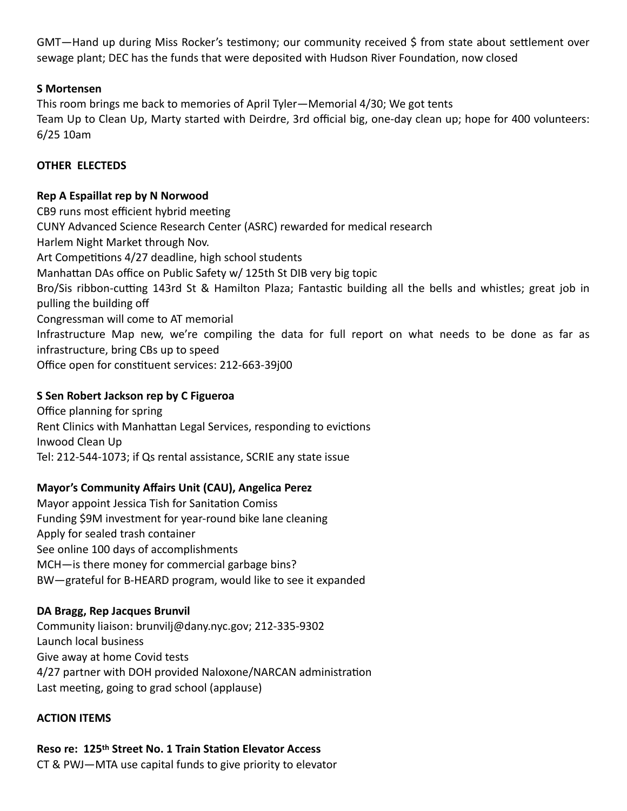GMT—Hand up during Miss Rocker's testimony; our community received \$ from state about settlement over sewage plant; DEC has the funds that were deposited with Hudson River Foundation, now closed

## **S Mortensen**

This room brings me back to memories of April Tyler—Memorial 4/30; We got tents Team Up to Clean Up, Marty started with Deirdre, 3rd official big, one-day clean up; hope for 400 volunteers: 6/25 10am

#### **OTHER ELECTEDS**

#### **Rep A Espaillat rep by N Norwood**

CB9 runs most efficient hybrid meeting CUNY Advanced Science Research Center (ASRC) rewarded for medical research Harlem Night Market through Nov. Art Competitions 4/27 deadline, high school students Manhattan DAs office on Public Safety w/ 125th St DIB very big topic Bro/Sis ribbon-cutting 143rd St & Hamilton Plaza; Fantastic building all the bells and whistles; great job in pulling the building off Congressman will come to AT memorial Infrastructure Map new, we're compiling the data for full report on what needs to be done as far as infrastructure, bring CBs up to speed Office open for constituent services: 212-663-39j00

#### **S Sen Robert Jackson rep by C Figueroa**

Office planning for spring Rent Clinics with Manhattan Legal Services, responding to evictions Inwood Clean Up Tel: 212-544-1073; if Qs rental assistance, SCRIE any state issue

## **Mayor's Community Affairs Unit (CAU), Angelica Perez**

Mayor appoint Jessica Tish for Sanitation Comiss Funding \$9M investment for year-round bike lane cleaning Apply for sealed trash container See online 100 days of accomplishments MCH—is there money for commercial garbage bins? BW—grateful for B-HEARD program, would like to see it expanded

#### **DA Bragg, Rep Jacques Brunvil**

Community liaison: brunvilj@dany.nyc.gov; 212-335-9302 Launch local business Give away at home Covid tests 4/27 partner with DOH provided Naloxone/NARCAN administration Last meeting, going to grad school (applause)

#### **ACTION ITEMS**

# **Reso re: 125th Street No. 1 Train Station Elevator Access** CT & PWJ—MTA use capital funds to give priority to elevator